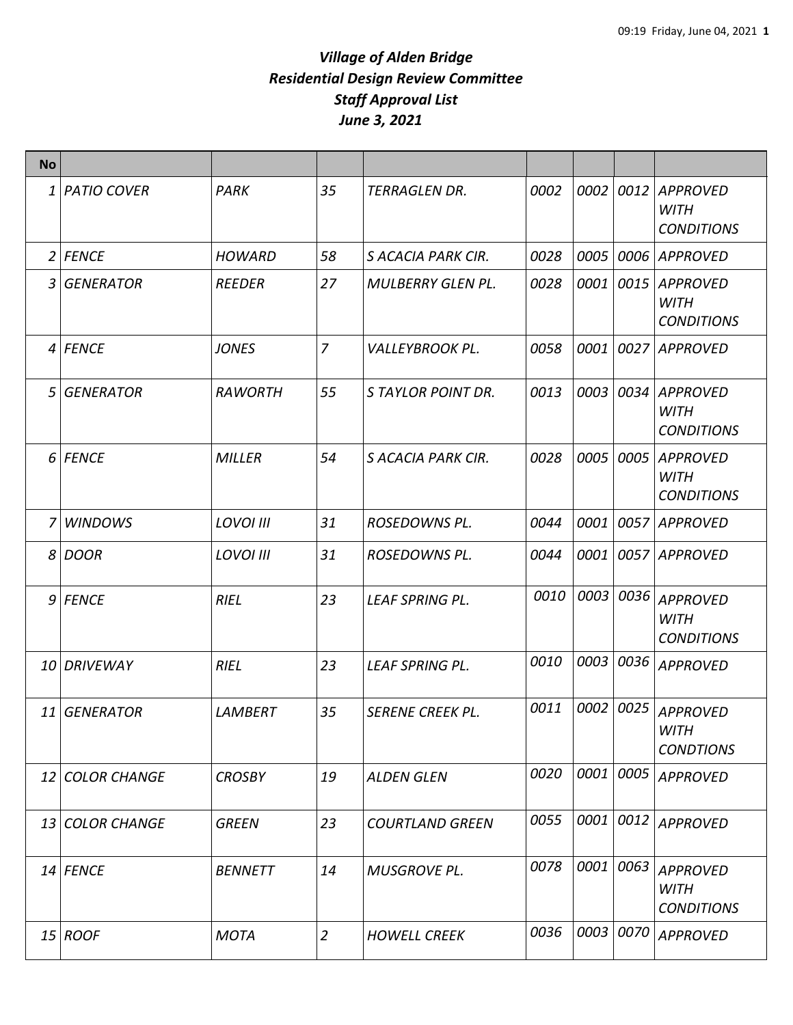| <b>No</b> |                 |                  |                |                          |      |      |      |                                                     |
|-----------|-----------------|------------------|----------------|--------------------------|------|------|------|-----------------------------------------------------|
|           | 1   PATIO COVER | PARK             | 35             | <b>TERRAGLEN DR.</b>     | 0002 | 0002 | 0012 | <b>APPROVED</b><br><b>WITH</b><br><b>CONDITIONS</b> |
|           | $2$ FENCE       | <b>HOWARD</b>    | 58             | S ACACIA PARK CIR.       | 0028 | 0005 | 0006 | <b>APPROVED</b>                                     |
|           | 3 GENERATOR     | REEDER           | 27             | <b>MULBERRY GLEN PL.</b> | 0028 | 0001 | 0015 | <b>APPROVED</b><br><b>WITH</b><br><b>CONDITIONS</b> |
|           | 4 FENCE         | <b>JONES</b>     | 7              | <b>VALLEYBROOK PL.</b>   | 0058 | 0001 | 0027 | <b>APPROVED</b>                                     |
|           | 5 GENERATOR     | <b>RAWORTH</b>   | 55             | S TAYLOR POINT DR.       | 0013 | 0003 | 0034 | <b>APPROVED</b><br><b>WITH</b><br><b>CONDITIONS</b> |
|           | 6 FENCE         | <b>MILLER</b>    | 54             | S ACACIA PARK CIR.       | 0028 | 0005 | 0005 | <b>APPROVED</b><br><b>WITH</b><br><b>CONDITIONS</b> |
| 7 I       | <b>WINDOWS</b>  | <b>LOVOI III</b> | 31             | <b>ROSEDOWNS PL.</b>     | 0044 | 0001 | 0057 | <b>APPROVED</b>                                     |
|           | 8 DOOR          | <b>LOVOI III</b> | 31             | ROSEDOWNS PL.            | 0044 | 0001 | 0057 | <b>APPROVED</b>                                     |
|           | $9$ FENCE       | <b>RIEL</b>      | 23             | <b>LEAF SPRING PL.</b>   | 0010 | 0003 | 0036 | <b>APPROVED</b><br><b>WITH</b><br><b>CONDITIONS</b> |
|           | 10 DRIVEWAY     | <b>RIEL</b>      | 23             | <b>LEAF SPRING PL.</b>   | 0010 | 0003 | 0036 | <b>APPROVED</b>                                     |
|           | 11 GENERATOR    | <b>LAMBERT</b>   | 35             | <b>SERENE CREEK PL.</b>  | 0011 | 0002 | 0025 | <b>APPROVED</b><br>WITH<br><b>CONDTIONS</b>         |
|           | 12 COLOR CHANGE | <b>CROSBY</b>    | 19             | <b>ALDEN GLEN</b>        | 0020 | 0001 | 0005 | <b>APPROVED</b>                                     |
|           | 13 COLOR CHANGE | <b>GREEN</b>     | 23             | <b>COURTLAND GREEN</b>   | 0055 | 0001 | 0012 | <b>APPROVED</b>                                     |
|           | 14 FENCE        | <b>BENNETT</b>   | 14             | <b>MUSGROVE PL.</b>      | 0078 | 0001 | 0063 | <b>APPROVED</b><br><b>WITH</b><br><b>CONDITIONS</b> |
|           | 15 ROOF         | <b>MOTA</b>      | $\overline{2}$ | <b>HOWELL CREEK</b>      | 0036 | 0003 | 0070 | <b>APPROVED</b>                                     |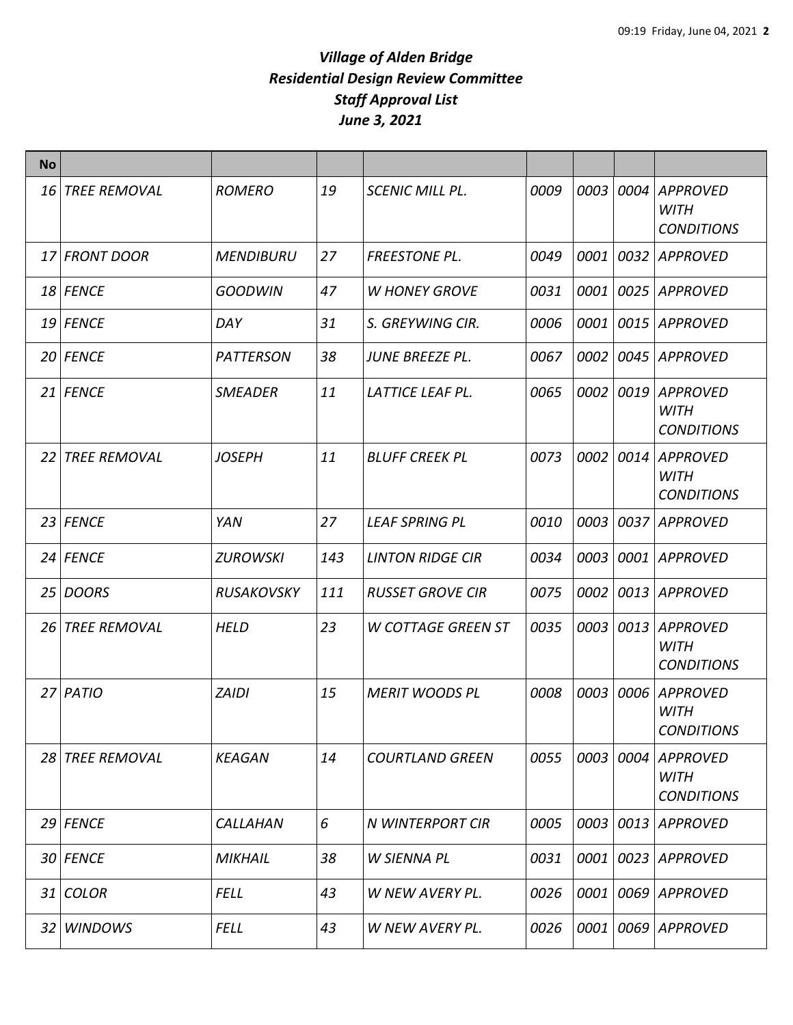| <b>No</b> |                     |                   |     |                           |      |      |      |                                                     |
|-----------|---------------------|-------------------|-----|---------------------------|------|------|------|-----------------------------------------------------|
| 16        | <b>TREE REMOVAL</b> | <b>ROMERO</b>     | 19  | <b>SCENIC MILL PL.</b>    | 0009 | 0003 | 0004 | <b>APPROVED</b><br><b>WITH</b><br><b>CONDITIONS</b> |
|           | 17 FRONT DOOR       | <b>MENDIBURU</b>  | 27  | <b>FREESTONE PL.</b>      | 0049 | 0001 | 0032 | <b>APPROVED</b>                                     |
|           | 18 FENCE            | <b>GOODWIN</b>    | 47  | <b>W HONEY GROVE</b>      | 0031 | 0001 | 0025 | <b>APPROVED</b>                                     |
|           | 19 FENCE            | DAY               | 31  | S. GREYWING CIR.          | 0006 | 0001 | 0015 | <b>APPROVED</b>                                     |
|           | 20 FENCE            | <b>PATTERSON</b>  | 38  | JUNE BREEZE PL.           | 0067 | 0002 | 0045 | <b>APPROVED</b>                                     |
|           | 21 FENCE            | <b>SMEADER</b>    | 11  | LATTICE LEAF PL.          | 0065 | 0002 | 0019 | <b>APPROVED</b><br><b>WITH</b><br><b>CONDITIONS</b> |
| 22        | <b>TREE REMOVAL</b> | <b>JOSEPH</b>     | 11  | <b>BLUFF CREEK PL</b>     | 0073 | 0002 | 0014 | <b>APPROVED</b><br><b>WITH</b><br><b>CONDITIONS</b> |
|           | 23 FENCE            | YAN               | 27  | <b>LEAF SPRING PL</b>     | 0010 | 0003 | 0037 | <b>APPROVED</b>                                     |
|           | 24 FENCE            | <b>ZUROWSKI</b>   | 143 | <b>LINTON RIDGE CIR</b>   | 0034 | 0003 | 0001 | <b>APPROVED</b>                                     |
|           | 25 DOORS            | <b>RUSAKOVSKY</b> | 111 | <b>RUSSET GROVE CIR</b>   | 0075 | 0002 | 0013 | <b>APPROVED</b>                                     |
| 26 I      | <b>TREE REMOVAL</b> | <b>HELD</b>       | 23  | <b>W COTTAGE GREEN ST</b> | 0035 | 0003 | 0013 | <b>APPROVED</b><br><b>WITH</b><br><b>CONDITIONS</b> |
|           | 27 PATIO            | <b>ZAIDI</b>      | 15  | <b>MERIT WOODS PL</b>     | 0008 | 0003 | 0006 | <b>APPROVED</b><br><b>WITH</b><br><b>CONDITIONS</b> |
|           | 28 TREE REMOVAL     | <b>KEAGAN</b>     | 14  | <b>COURTLAND GREEN</b>    | 0055 | 0003 | 0004 | <b>APPROVED</b><br><b>WITH</b><br><b>CONDITIONS</b> |
|           | 29 FENCE            | CALLAHAN          | 6   | N WINTERPORT CIR          | 0005 | 0003 | 0013 | <b>APPROVED</b>                                     |
|           | 30 FENCE            | <b>MIKHAIL</b>    | 38  | W SIENNA PL               | 0031 | 0001 | 0023 | <b>APPROVED</b>                                     |
|           | $31$ COLOR          | <b>FELL</b>       | 43  | W NEW AVERY PL.           | 0026 | 0001 | 0069 | APPROVED                                            |
| 32 I      | <b>WINDOWS</b>      | <b>FELL</b>       | 43  | W NEW AVERY PL.           | 0026 | 0001 | 0069 | <b>APPROVED</b>                                     |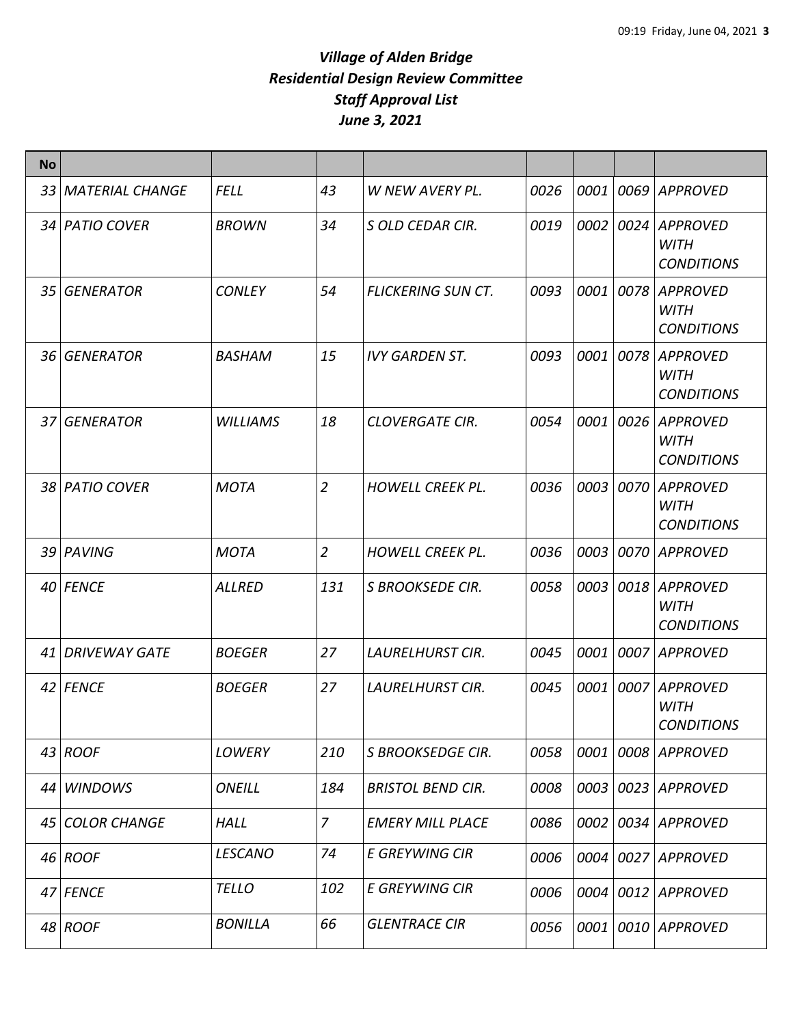| <b>No</b>       |                      |                 |                |                           |      |      |      |                                                     |
|-----------------|----------------------|-----------------|----------------|---------------------------|------|------|------|-----------------------------------------------------|
|                 | 33 MATERIAL CHANGE   | <b>FELL</b>     | 43             | W NEW AVERY PL.           | 0026 | 0001 | 0069 | <b>APPROVED</b>                                     |
|                 | 34 PATIO COVER       | <b>BROWN</b>    | 34             | S OLD CEDAR CIR.          | 0019 | 0002 | 0024 | <b>APPROVED</b><br><b>WITH</b><br><b>CONDITIONS</b> |
| 35 <sub>l</sub> | <b>GENERATOR</b>     | <b>CONLEY</b>   | 54             | <b>FLICKERING SUN CT.</b> | 0093 | 0001 | 0078 | <b>APPROVED</b><br><b>WITH</b><br><b>CONDITIONS</b> |
| 36              | <b>GENERATOR</b>     | <b>BASHAM</b>   | 15             | <b>IVY GARDEN ST.</b>     | 0093 | 0001 | 0078 | <b>APPROVED</b><br><b>WITH</b><br><b>CONDITIONS</b> |
| 37              | <b>GENERATOR</b>     | <b>WILLIAMS</b> | 18             | <b>CLOVERGATE CIR.</b>    | 0054 | 0001 | 0026 | <b>APPROVED</b><br>WITH<br><b>CONDITIONS</b>        |
|                 | 38 PATIO COVER       | <b>MOTA</b>     | $\overline{2}$ | <b>HOWELL CREEK PL.</b>   | 0036 | 0003 | 0070 | <b>APPROVED</b><br><b>WITH</b><br><b>CONDITIONS</b> |
|                 | 39 PAVING            | <b>MOTA</b>     | $\overline{c}$ | <b>HOWELL CREEK PL.</b>   | 0036 | 0003 | 0070 | <b>APPROVED</b>                                     |
|                 | 40 FENCE             | <b>ALLRED</b>   | 131            | <b>S BROOKSEDE CIR.</b>   | 0058 | 0003 | 0018 | <b>APPROVED</b><br><b>WITH</b><br><b>CONDITIONS</b> |
| 41              | <b>DRIVEWAY GATE</b> | <b>BOEGER</b>   | 27             | <b>LAURELHURST CIR.</b>   | 0045 | 0001 | 0007 | <b>APPROVED</b>                                     |
|                 | 42 FENCE             | <b>BOEGER</b>   | 27             | LAURELHURST CIR.          | 0045 | 0001 | 0007 | <b>APPROVED</b><br><b>WITH</b><br><b>CONDITIONS</b> |
|                 | 43 ROOF              | LOWERY          | 210            | S BROOKSEDGE CIR.         | 0058 | 0001 | 0008 | <b>APPROVED</b>                                     |
| 44              | <b>WINDOWS</b>       | <b>ONEILL</b>   | 184            | <b>BRISTOL BEND CIR.</b>  | 0008 | 0003 | 0023 | <b>APPROVED</b>                                     |
| 45              | <b>COLOR CHANGE</b>  | <b>HALL</b>     | $\overline{7}$ | <b>EMERY MILL PLACE</b>   | 0086 | 0002 | 0034 | <b>APPROVED</b>                                     |
|                 | $46$ ROOF            | <b>LESCANO</b>  | 74             | <b>E GREYWING CIR</b>     | 0006 | 0004 | 0027 | <b>APPROVED</b>                                     |
|                 | 47 FENCE             | <b>TELLO</b>    | 102            | <b>E GREYWING CIR</b>     | 0006 | 0004 |      | 0012 APPROVED                                       |
|                 | 48 ROOF              | <b>BONILLA</b>  | 66             | <b>GLENTRACE CIR</b>      | 0056 | 0001 | 0010 | <b>APPROVED</b>                                     |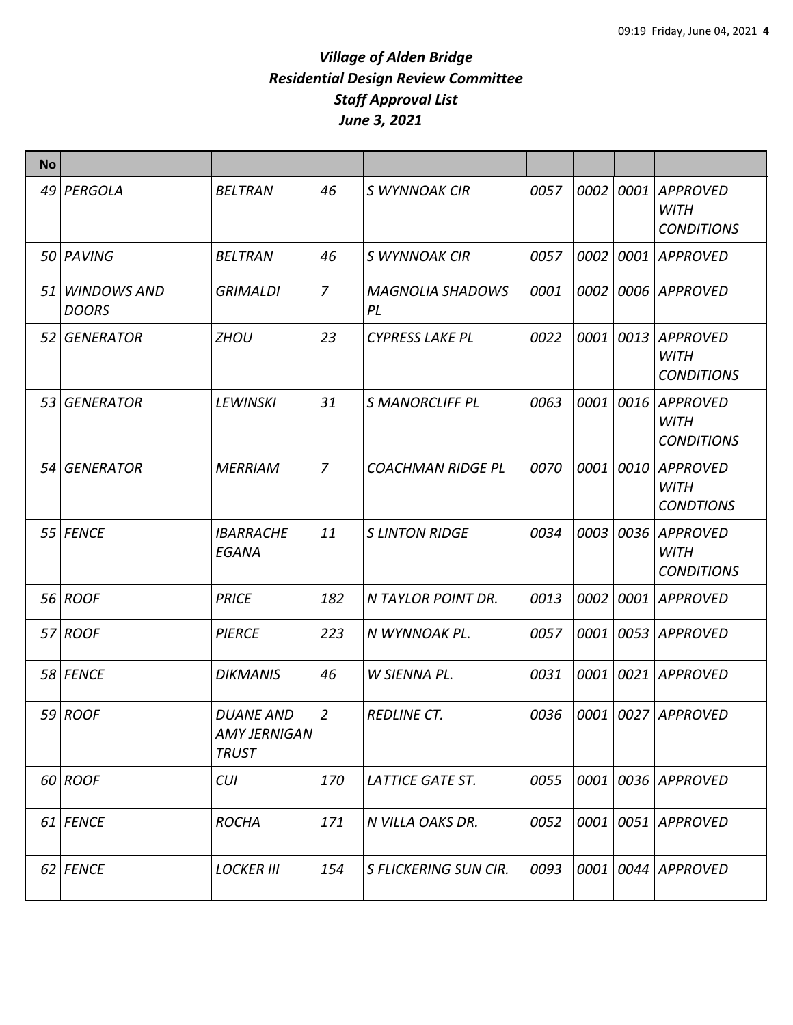| <b>No</b> |                                |                                                  |                |                               |      |           |      |                                                     |
|-----------|--------------------------------|--------------------------------------------------|----------------|-------------------------------|------|-----------|------|-----------------------------------------------------|
|           | 49 PERGOLA                     | <b>BELTRAN</b>                                   | 46             | S WYNNOAK CIR                 | 0057 | 0002      | 0001 | <b>APPROVED</b><br><b>WITH</b><br><b>CONDITIONS</b> |
|           | 50 PAVING                      | <b>BELTRAN</b>                                   | 46             | S WYNNOAK CIR                 | 0057 | 0002      | 0001 | <b>APPROVED</b>                                     |
|           | 51 WINDOWS AND<br><b>DOORS</b> | <b>GRIMALDI</b>                                  | $\overline{z}$ | <b>MAGNOLIA SHADOWS</b><br>PL | 0001 | 0002      | 0006 | <b>APPROVED</b>                                     |
|           | 52 GENERATOR                   | <b>ZHOU</b>                                      | 23             | <b>CYPRESS LAKE PL</b>        | 0022 | 0001      | 0013 | <b>APPROVED</b><br><b>WITH</b><br><b>CONDITIONS</b> |
|           | 53 GENERATOR                   | <b>LEWINSKI</b>                                  | 31             | <b>S MANORCLIFF PL</b>        | 0063 | 0001 0016 |      | <b>APPROVED</b><br><b>WITH</b><br><b>CONDITIONS</b> |
|           | 54 GENERATOR                   | <b>MERRIAM</b>                                   | $\overline{7}$ | <b>COACHMAN RIDGE PL</b>      | 0070 | 0001      | 0010 | <b>APPROVED</b><br>WITH<br><b>CONDTIONS</b>         |
|           | 55 FENCE                       | <b>IBARRACHE</b><br><b>EGANA</b>                 | 11             | <b>S LINTON RIDGE</b>         | 0034 | 0003      | 0036 | <b>APPROVED</b><br><b>WITH</b><br><b>CONDITIONS</b> |
|           | 56 ROOF                        | <b>PRICE</b>                                     | 182            | N TAYLOR POINT DR.            | 0013 | 0002      | 0001 | <b>APPROVED</b>                                     |
|           | 57 ROOF                        | <b>PIERCE</b>                                    | 223            | N WYNNOAK PL.                 | 0057 | 0001      | 0053 | <b>APPROVED</b>                                     |
|           | 58 FENCE                       | <b>DIKMANIS</b>                                  | 46             | W SIENNA PL.                  | 0031 | 0001      | 0021 | <b>APPROVED</b>                                     |
|           | $59$ ROOF                      | <b>DUANE AND</b><br>AMY JERNIGAN<br><b>TRUST</b> | $\overline{2}$ | <b>REDLINE CT.</b>            | 0036 |           |      | 0001 0027 APPROVED                                  |
|           | 60 ROOF                        | <b>CUI</b>                                       | 170            | <b>LATTICE GATE ST.</b>       | 0055 |           |      | 0001 0036 APPROVED                                  |
|           | 61 FENCE                       | <b>ROCHA</b>                                     | 171            | N VILLA OAKS DR.              | 0052 |           |      | 0001 0051 APPROVED                                  |
|           | 62 FENCE                       | <b>LOCKER III</b>                                | 154            | <b>S FLICKERING SUN CIR.</b>  | 0093 |           |      | 0001 0044 APPROVED                                  |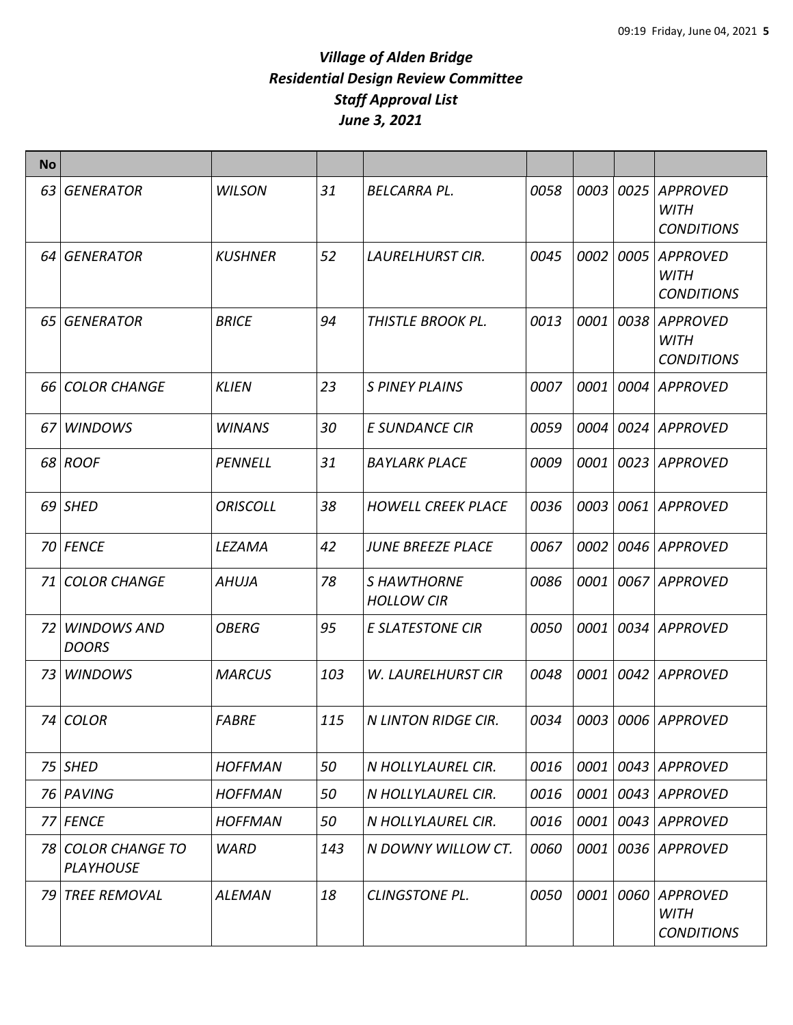| No   |                                        |                 |     |                                  |      |      |      |                                                     |
|------|----------------------------------------|-----------------|-----|----------------------------------|------|------|------|-----------------------------------------------------|
| 63   | <b>GENERATOR</b>                       | <b>WILSON</b>   | 31  | <b>BELCARRA PL.</b>              | 0058 | 0003 | 0025 | <b>APPROVED</b><br><b>WITH</b><br><b>CONDITIONS</b> |
| 64 I | <b>GENERATOR</b>                       | <b>KUSHNER</b>  | 52  | <b>LAURELHURST CIR.</b>          | 0045 | 0002 | 0005 | <b>APPROVED</b><br><b>WITH</b><br><b>CONDITIONS</b> |
| 65 I | <b>GENERATOR</b>                       | <b>BRICE</b>    | 94  | <b>THISTLE BROOK PL.</b>         | 0013 | 0001 | 0038 | <b>APPROVED</b><br><b>WITH</b><br><b>CONDITIONS</b> |
| 66 I | <b>COLOR CHANGE</b>                    | <b>KLIEN</b>    | 23  | <b>S PINEY PLAINS</b>            | 0007 | 0001 | 0004 | <b>APPROVED</b>                                     |
| 67   | <b>WINDOWS</b>                         | <b>WINANS</b>   | 30  | <b>E SUNDANCE CIR</b>            | 0059 | 0004 |      | 0024 APPROVED                                       |
|      | 68 ROOF                                | <b>PENNELL</b>  | 31  | <b>BAYLARK PLACE</b>             | 0009 | 0001 |      | 0023 APPROVED                                       |
|      | 69 SHED                                | <b>ORISCOLL</b> | 38  | <b>HOWELL CREEK PLACE</b>        | 0036 | 0003 |      | 0061 APPROVED                                       |
|      | 70 FENCE                               | LEZAMA          | 42  | <b>JUNE BREEZE PLACE</b>         | 0067 | 0002 |      | 0046 APPROVED                                       |
| 71   | <b>COLOR CHANGE</b>                    | <b>AHUJA</b>    | 78  | S HAWTHORNE<br><b>HOLLOW CIR</b> | 0086 | 0001 |      | 0067 APPROVED                                       |
| 72   | <b>WINDOWS AND</b><br><b>DOORS</b>     | <b>OBERG</b>    | 95  | <b>E SLATESTONE CIR</b>          | 0050 | 0001 |      | 0034 APPROVED                                       |
| 73   | <b>WINDOWS</b>                         | <b>MARCUS</b>   | 103 | <b>W. LAURELHURST CIR</b>        | 0048 | 0001 | 0042 | <b>APPROVED</b>                                     |
|      | 74 COLOR                               | <b>FABRE</b>    | 115 | <b>N LINTON RIDGE CIR.</b>       | 0034 | 0003 |      | 0006 APPROVED                                       |
|      | 75 SHED                                | <b>HOFFMAN</b>  | 50  | N HOLLYLAUREL CIR.               | 0016 | 0001 | 0043 | <b>APPROVED</b>                                     |
|      | 76 PAVING                              | <b>HOFFMAN</b>  | 50  | N HOLLYLAUREL CIR.               | 0016 | 0001 |      | 0043 APPROVED                                       |
|      | 77 FENCE                               | <b>HOFFMAN</b>  | 50  | N HOLLYLAUREL CIR.               | 0016 | 0001 | 0043 | APPROVED                                            |
|      | 78 COLOR CHANGE TO<br><b>PLAYHOUSE</b> | <b>WARD</b>     | 143 | N DOWNY WILLOW CT.               | 0060 | 0001 |      | 0036 APPROVED                                       |
| 79   | <b>TREE REMOVAL</b>                    | <b>ALEMAN</b>   | 18  | <b>CLINGSTONE PL.</b>            | 0050 | 0001 | 0060 | APPROVED<br><b>WITH</b><br><b>CONDITIONS</b>        |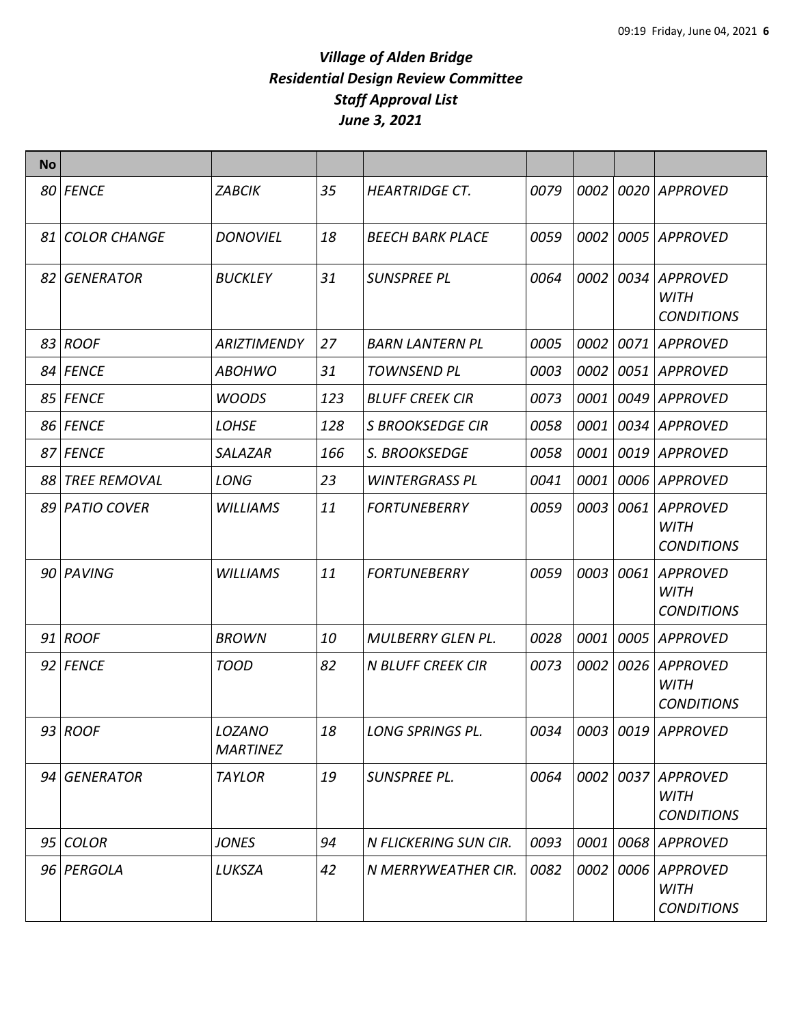| <b>No</b> |                 |                           |     |                          |      |      |      |                                                     |
|-----------|-----------------|---------------------------|-----|--------------------------|------|------|------|-----------------------------------------------------|
|           | 80 FENCE        | <b>ZABCIK</b>             | 35  | <b>HEARTRIDGE CT.</b>    | 0079 | 0002 |      | 0020 APPROVED                                       |
|           | 81 COLOR CHANGE | <b>DONOVIEL</b>           | 18  | <b>BEECH BARK PLACE</b>  | 0059 | 0002 | 0005 | <b>APPROVED</b>                                     |
|           | 82 GENERATOR    | <b>BUCKLEY</b>            | 31  | <b>SUNSPREE PL</b>       | 0064 | 0002 | 0034 | <b>APPROVED</b><br><b>WITH</b><br><b>CONDITIONS</b> |
|           | 83 ROOF         | <b>ARIZTIMENDY</b>        | 27  | <b>BARN LANTERN PL</b>   | 0005 | 0002 | 0071 | <b>APPROVED</b>                                     |
|           | 84 FENCE        | ABOHWO                    | 31  | <b>TOWNSEND PL</b>       | 0003 | 0002 | 0051 | <b>APPROVED</b>                                     |
|           | 85 FENCE        | <b>WOODS</b>              | 123 | <b>BLUFF CREEK CIR</b>   | 0073 | 0001 | 0049 | <b>APPROVED</b>                                     |
|           | 86 FENCE        | <b>LOHSE</b>              | 128 | <b>S BROOKSEDGE CIR</b>  | 0058 | 0001 | 0034 | <b>APPROVED</b>                                     |
|           | 87 FENCE        | SALAZAR                   | 166 | S. BROOKSEDGE            | 0058 | 0001 | 0019 | APPROVED                                            |
|           | 88 TREE REMOVAL | <b>LONG</b>               | 23  | <b>WINTERGRASS PL</b>    | 0041 | 0001 | 0006 | <b>APPROVED</b>                                     |
|           | 89 PATIO COVER  | <b>WILLIAMS</b>           | 11  | <b>FORTUNEBERRY</b>      | 0059 | 0003 | 0061 | <b>APPROVED</b><br><b>WITH</b><br><b>CONDITIONS</b> |
|           | 90 PAVING       | <b>WILLIAMS</b>           | 11  | <b>FORTUNEBERRY</b>      | 0059 | 0003 | 0061 | <b>APPROVED</b><br><b>WITH</b><br><b>CONDITIONS</b> |
|           | $91$ ROOF       | <b>BROWN</b>              | 10  | <b>MULBERRY GLEN PL.</b> | 0028 | 0001 | 0005 | <b>APPROVED</b>                                     |
|           | 92 FENCE        | <b>TOOD</b>               | 82  | <b>N BLUFF CREEK CIR</b> | 0073 | 0002 | 0026 | <b>APPROVED</b><br><b>WITH</b><br><b>CONDITIONS</b> |
|           | $93$ ROOF       | LOZANO<br><b>MARTINEZ</b> | 18  | LONG SPRINGS PL.         | 0034 |      |      | $ 0003 0019 $ APPROVED                              |
|           | 94 GENERATOR    | <b>TAYLOR</b>             | 19  | SUNSPREE PL.             | 0064 | 0002 |      | 0037 APPROVED<br><b>WITH</b><br><b>CONDITIONS</b>   |
|           | 95 COLOR        | <b>JONES</b>              | 94  | N FLICKERING SUN CIR.    | 0093 | 0001 | 0068 | <b>APPROVED</b>                                     |
|           | 96 PERGOLA      | LUKSZA                    | 42  | N MERRYWEATHER CIR.      | 0082 | 0002 |      | 0006 APPROVED<br><b>WITH</b><br><b>CONDITIONS</b>   |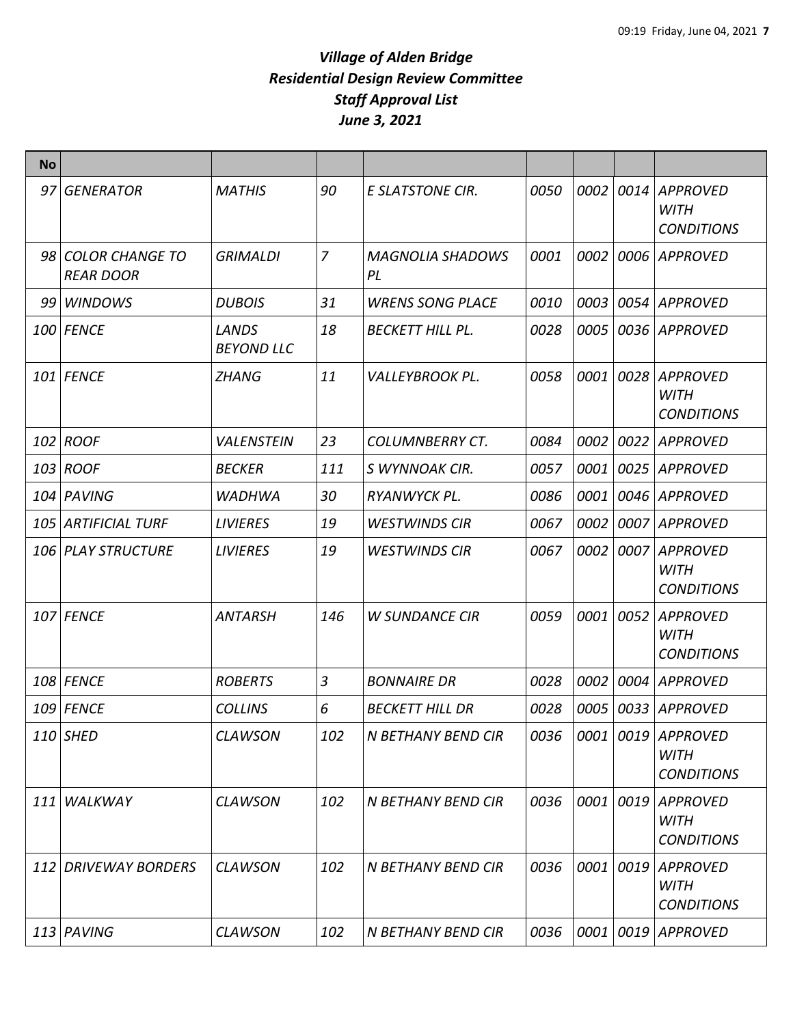| No.  |                                            |                            |                |                               |      |           |           |                                                     |
|------|--------------------------------------------|----------------------------|----------------|-------------------------------|------|-----------|-----------|-----------------------------------------------------|
| 97   | <b>GENERATOR</b>                           | <b>MATHIS</b>              | 90             | <b>E SLATSTONE CIR.</b>       | 0050 | 0002      | 0014      | <b>APPROVED</b><br><b>WITH</b><br><b>CONDITIONS</b> |
| 98 l | <b>COLOR CHANGE TO</b><br><b>REAR DOOR</b> | <b>GRIMALDI</b>            | $\overline{z}$ | <b>MAGNOLIA SHADOWS</b><br>PL | 0001 | 0002      | 0006      | <b>APPROVED</b>                                     |
| 99   | <b>WINDOWS</b>                             | <b>DUBOIS</b>              | 31             | <b>WRENS SONG PLACE</b>       | 0010 | 0003      | 0054      | <b>APPROVED</b>                                     |
|      | 100 FENCE                                  | LANDS<br><b>BEYOND LLC</b> | 18             | <b>BECKETT HILL PL.</b>       | 0028 | 0005      | 0036      | <b>APPROVED</b>                                     |
|      | 101 FENCE                                  | ZHANG                      | 11             | <b>VALLEYBROOK PL.</b>        | 0058 | 0001      | 0028      | <b>APPROVED</b><br><b>WITH</b><br><b>CONDITIONS</b> |
|      | 102 ROOF                                   | <b>VALENSTEIN</b>          | 23             | <b>COLUMNBERRY CT.</b>        | 0084 | 0002      | 0022      | <b>APPROVED</b>                                     |
|      | 103 ROOF                                   | <b>BECKER</b>              | 111            | S WYNNOAK CIR.                | 0057 | 0001      | 0025      | APPROVED                                            |
|      | 104 PAVING                                 | WADHWA                     | 30             | RYANWYCK PL.                  | 0086 | 0001      | 0046      | <b>APPROVED</b>                                     |
|      | 105 ARTIFICIAL TURF                        | <b>LIVIERES</b>            | 19             | <b>WESTWINDS CIR</b>          | 0067 | 0002      | 0007      | <b>APPROVED</b>                                     |
|      | 106 PLAY STRUCTURE                         | <b>LIVIERES</b>            | 19             | <b>WESTWINDS CIR</b>          | 0067 | 0002      | 0007      | <b>APPROVED</b><br><b>WITH</b><br><b>CONDITIONS</b> |
|      | 107 FENCE                                  | ANTARSH                    | 146            | <b>W SUNDANCE CIR</b>         | 0059 | 0001      | 0052      | <b>APPROVED</b><br><b>WITH</b><br><b>CONDITIONS</b> |
|      | <b>108 FENCE</b>                           | <b>ROBERTS</b>             | 3              | <b>BONNAIRE DR</b>            | 0028 | 0002      | 0004      | <b>APPROVED</b>                                     |
|      | 109 FENCE                                  | <b>COLLINS</b>             | 6              | <b>BECKETT HILL DR</b>        | 0028 | 0005      | 0033      | <b>APPROVED</b>                                     |
|      | 110 SHED                                   | <b>CLAWSON</b>             | 102            | N BETHANY BEND CIR            | 0036 |           | 0001 0019 | <b>APPROVED</b><br><b>WITH</b><br><b>CONDITIONS</b> |
| 111  | WALKWAY                                    | <b>CLAWSON</b>             | 102            | N BETHANY BEND CIR            | 0036 | 0001      | 0019      | <b>APPROVED</b><br><b>WITH</b><br><b>CONDITIONS</b> |
|      | 112 DRIVEWAY BORDERS                       | <b>CLAWSON</b>             | 102            | N BETHANY BEND CIR            | 0036 | 0001      | 0019      | <b>APPROVED</b><br><b>WITH</b><br><b>CONDITIONS</b> |
|      | 113 PAVING                                 | <b>CLAWSON</b>             | 102            | N BETHANY BEND CIR            | 0036 | 0001 0019 |           | <b>APPROVED</b>                                     |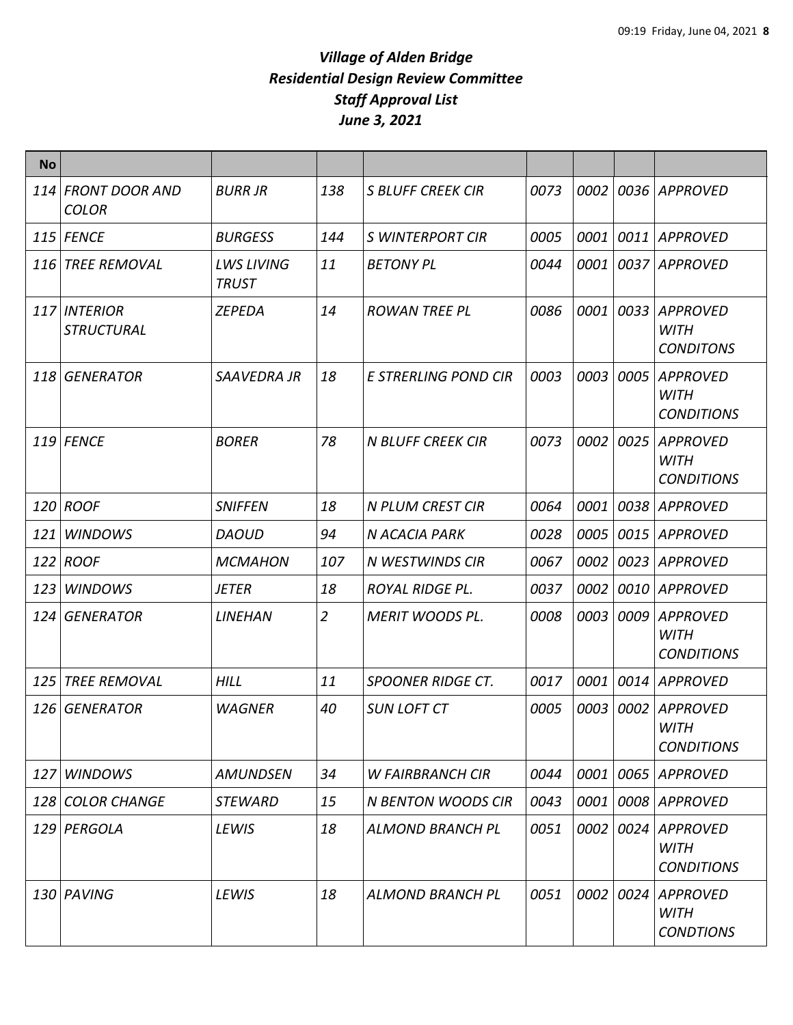| <b>No</b> |                                    |                                   |                |                           |      |             |      |                                                     |
|-----------|------------------------------------|-----------------------------------|----------------|---------------------------|------|-------------|------|-----------------------------------------------------|
|           | 114 FRONT DOOR AND<br><b>COLOR</b> | <b>BURR JR</b>                    | 138            | <b>S BLUFF CREEK CIR</b>  | 0073 | <i>0002</i> |      | 0036 APPROVED                                       |
|           | $115$ FENCE                        | <b>BURGESS</b>                    | 144            | <b>S WINTERPORT CIR</b>   | 0005 | 0001        | 0011 | <b>APPROVED</b>                                     |
|           | 116 TREE REMOVAL                   | <b>LWS LIVING</b><br><b>TRUST</b> | 11             | <b>BETONY PL</b>          | 0044 | 0001        |      | 0037 APPROVED                                       |
|           | 117 INTERIOR<br><b>STRUCTURAL</b>  | <b>ZEPEDA</b>                     | 14             | <b>ROWAN TREE PL</b>      | 0086 | 0001        | 0033 | <b>APPROVED</b><br><b>WITH</b><br><b>CONDITONS</b>  |
|           | 118 GENERATOR                      | SAAVEDRA JR                       | 18             | E STRERLING POND CIR      | 0003 | 0003        | 0005 | <b>APPROVED</b><br><b>WITH</b><br><b>CONDITIONS</b> |
|           | 119 FENCE                          | <b>BORER</b>                      | 78             | <b>N BLUFF CREEK CIR</b>  | 0073 | 0002        | 0025 | <b>APPROVED</b><br><b>WITH</b><br><b>CONDITIONS</b> |
|           | $120$ ROOF                         | <b>SNIFFEN</b>                    | 18             | <b>N PLUM CREST CIR</b>   | 0064 | 0001        | 0038 | APPROVED                                            |
|           | 121 WINDOWS                        | <b>DAOUD</b>                      | 94             | N ACACIA PARK             | 0028 | 0005        | 0015 | <b>APPROVED</b>                                     |
|           | 122 ROOF                           | <b>MCMAHON</b>                    | 107            | N WESTWINDS CIR           | 0067 | 0002        | 0023 | <b>APPROVED</b>                                     |
|           | 123 WINDOWS                        | <i>JETER</i>                      | 18             | <b>ROYAL RIDGE PL.</b>    | 0037 | 0002        | 0010 | <b>APPROVED</b>                                     |
|           | 124 GENERATOR                      | <b>LINEHAN</b>                    | $\overline{2}$ | <b>MERIT WOODS PL.</b>    | 0008 | 0003        | 0009 | <b>APPROVED</b><br><b>WITH</b><br><b>CONDITIONS</b> |
| 125       | <b>TREE REMOVAL</b>                | <b>HILL</b>                       | 11             | <b>SPOONER RIDGE CT.</b>  | 0017 | 0001        | 0014 | <b>APPROVED</b>                                     |
|           | 126 GENERATOR                      | <b>WAGNER</b>                     | 40             | <b>SUN LOFT CT</b>        | 0005 | 0003        | 0002 | <b>APPROVED</b><br><b>WITH</b><br><b>CONDITIONS</b> |
|           | 127 WINDOWS                        | <b>AMUNDSEN</b>                   | 34             | <b>W FAIRBRANCH CIR</b>   | 0044 | 0001        | 0065 | <b>APPROVED</b>                                     |
|           | 128 COLOR CHANGE                   | <b>STEWARD</b>                    | 15             | <b>N BENTON WOODS CIR</b> | 0043 | 0001        |      | 0008 APPROVED                                       |
|           | 129 PERGOLA                        | <b>LEWIS</b>                      | 18             | <b>ALMOND BRANCH PL</b>   | 0051 | 0002        | 0024 | <b>APPROVED</b><br><b>WITH</b><br><b>CONDITIONS</b> |
|           | 130 PAVING                         | LEWIS                             | 18             | <b>ALMOND BRANCH PL</b>   | 0051 | 0002        | 0024 | APPROVED<br><b>WITH</b><br><b>CONDTIONS</b>         |